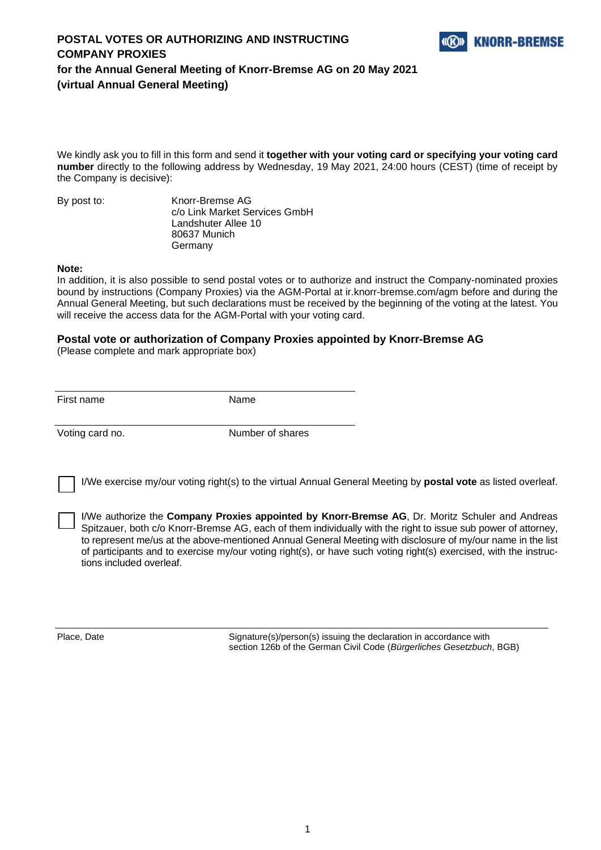

### **POSTAL VOTES OR AUTHORIZING AND INSTRUCTING COMPANY PROXIES for the Annual General Meeting of Knorr-Bremse AG on 20 May 2021 (virtual Annual General Meeting)**

We kindly ask you to fill in this form and send it **together with your voting card or specifying your voting card number** directly to the following address by Wednesday, 19 May 2021, 24:00 hours (CEST) (time of receipt by the Company is decisive):

By post to: Knorr-Bremse AG c/o Link Market Services GmbH Landshuter Allee 10 80637 Munich Germany

#### **Note:**

In addition, it is also possible to send postal votes or to authorize and instruct the Company-nominated proxies bound by instructions (Company Proxies) via the AGM-Portal at ir.knorr-bremse.com/agm before and during the Annual General Meeting, but such declarations must be received by the beginning of the voting at the latest. You will receive the access data for the AGM-Portal with your voting card.

#### **Postal vote or authorization of Company Proxies appointed by Knorr-Bremse AG**

(Please complete and mark appropriate box)

First name Name

Voting card no. Number of shares

I/We exercise my/our voting right(s) to the virtual Annual General Meeting by **postal vote** as listed overleaf.

I/We authorize the **Company Proxies appointed by Knorr-Bremse AG**, Dr. Moritz Schuler and Andreas Spitzauer, both c/o Knorr-Bremse AG, each of them individually with the right to issue sub power of attorney, to represent me/us at the above-mentioned Annual General Meeting with disclosure of my/our name in the list of participants and to exercise my/our voting right(s), or have such voting right(s) exercised, with the instructions included overleaf.

Place, Date Signature(s)/person(s) issuing the declaration in accordance with section 126b of the German Civil Code (*Bürgerliches Gesetzbuch*, BGB)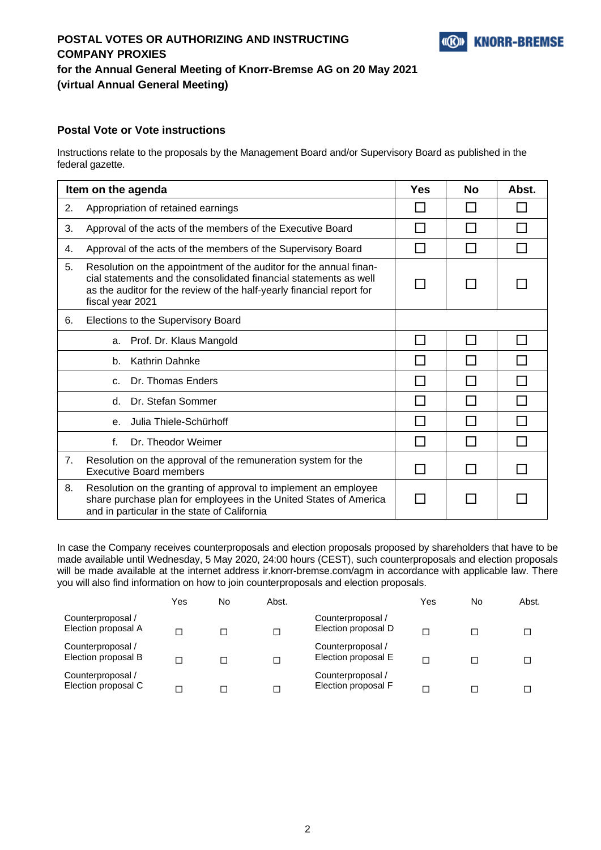

# **POSTAL VOTES OR AUTHORIZING AND INSTRUCTING COMPANY PROXIES for the Annual General Meeting of Knorr-Bremse AG on 20 May 2021 (virtual Annual General Meeting)**

### **Postal Vote or Vote instructions**

Instructions relate to the proposals by the Management Board and/or Supervisory Board as published in the federal gazette.

| Item on the agenda |                                                                                                                                                                                                                                      |              | <b>No</b>    | Abst. |
|--------------------|--------------------------------------------------------------------------------------------------------------------------------------------------------------------------------------------------------------------------------------|--------------|--------------|-------|
| 2.                 | Appropriation of retained earnings                                                                                                                                                                                                   |              |              |       |
| 3.                 | Approval of the acts of the members of the Executive Board                                                                                                                                                                           |              |              |       |
| 4.                 | Approval of the acts of the members of the Supervisory Board                                                                                                                                                                         |              |              |       |
| 5.                 | Resolution on the appointment of the auditor for the annual finan-<br>cial statements and the consolidated financial statements as well<br>as the auditor for the review of the half-yearly financial report for<br>fiscal year 2021 |              |              |       |
| 6.                 | Elections to the Supervisory Board                                                                                                                                                                                                   |              |              |       |
|                    | Prof. Dr. Klaus Mangold<br>a.                                                                                                                                                                                                        | H            | $\mathsf{L}$ |       |
|                    | Kathrin Dahnke<br>b.                                                                                                                                                                                                                 |              |              |       |
|                    | Dr. Thomas Enders<br>$\mathsf{C}$ .                                                                                                                                                                                                  |              |              |       |
|                    | Dr. Stefan Sommer<br>d.                                                                                                                                                                                                              | $\mathsf{L}$ | ΙI           |       |
|                    | Julia Thiele-Schürhoff<br>$\mathbf{e}$                                                                                                                                                                                               |              |              |       |
|                    | f.<br>Dr. Theodor Weimer                                                                                                                                                                                                             |              |              |       |
| 7.                 | Resolution on the approval of the remuneration system for the<br><b>Executive Board members</b>                                                                                                                                      |              |              |       |
| 8.                 | Resolution on the granting of approval to implement an employee<br>share purchase plan for employees in the United States of America<br>and in particular in the state of California                                                 |              |              |       |

In case the Company receives counterproposals and election proposals proposed by shareholders that have to be made available until Wednesday, 5 May 2020, 24:00 hours (CEST), such counterproposals and election proposals will be made available at the internet address ir.knorr-bremse.com/agm in accordance with applicable law. There you will also find information on how to join counterproposals and election proposals.

|                                          | Yes | No | Abst. |                                          | Yes | No | Abst. |
|------------------------------------------|-----|----|-------|------------------------------------------|-----|----|-------|
| Counterproposal /<br>Election proposal A |     |    | п     | Counterproposal /<br>Election proposal D |     |    |       |
| Counterproposal /<br>Election proposal B |     |    | п     | Counterproposal /<br>Election proposal E |     |    |       |
| Counterproposal /<br>Election proposal C |     |    |       | Counterproposal /<br>Election proposal F |     |    |       |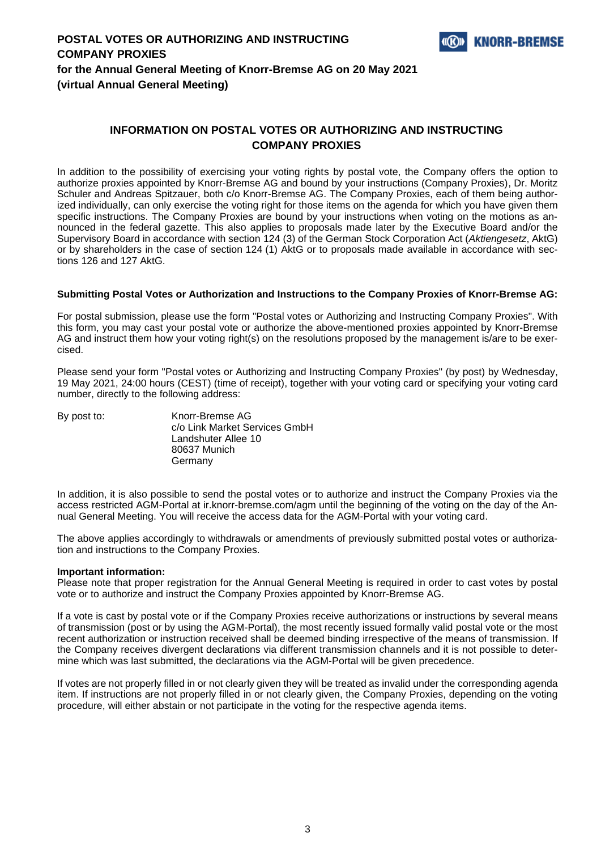

### **INFORMATION ON POSTAL VOTES OR AUTHORIZING AND INSTRUCTING COMPANY PROXIES**

In addition to the possibility of exercising your voting rights by postal vote, the Company offers the option to authorize proxies appointed by Knorr-Bremse AG and bound by your instructions (Company Proxies), Dr. Moritz Schuler and Andreas Spitzauer, both c/o Knorr-Bremse AG. The Company Proxies, each of them being authorized individually, can only exercise the voting right for those items on the agenda for which you have given them specific instructions. The Company Proxies are bound by your instructions when voting on the motions as announced in the federal gazette. This also applies to proposals made later by the Executive Board and/or the Supervisory Board in accordance with section 124 (3) of the German Stock Corporation Act (*Aktiengesetz*, AktG) or by shareholders in the case of section 124 (1) AktG or to proposals made available in accordance with sections 126 and 127 AktG.

#### **Submitting Postal Votes or Authorization and Instructions to the Company Proxies of Knorr-Bremse AG:**

For postal submission, please use the form "Postal votes or Authorizing and Instructing Company Proxies". With this form, you may cast your postal vote or authorize the above-mentioned proxies appointed by Knorr-Bremse AG and instruct them how your voting right(s) on the resolutions proposed by the management is/are to be exercised.

Please send your form "Postal votes or Authorizing and Instructing Company Proxies" (by post) by Wednesday, 19 May 2021, 24:00 hours (CEST) (time of receipt), together with your voting card or specifying your voting card number, directly to the following address:

| By post to: | Knorr-Bremse AG               |
|-------------|-------------------------------|
|             | c/o Link Market Services GmbH |
|             | Landshuter Allee 10           |
|             | 80637 Munich                  |
|             | Germany                       |

In addition, it is also possible to send the postal votes or to authorize and instruct the Company Proxies via the access restricted AGM-Portal at ir.knorr-bremse.com/agm until the beginning of the voting on the day of the Annual General Meeting. You will receive the access data for the AGM-Portal with your voting card.

The above applies accordingly to withdrawals or amendments of previously submitted postal votes or authorization and instructions to the Company Proxies.

#### **Important information:**

Please note that proper registration for the Annual General Meeting is required in order to cast votes by postal vote or to authorize and instruct the Company Proxies appointed by Knorr-Bremse AG.

If a vote is cast by postal vote or if the Company Proxies receive authorizations or instructions by several means of transmission (post or by using the AGM-Portal), the most recently issued formally valid postal vote or the most recent authorization or instruction received shall be deemed binding irrespective of the means of transmission. If the Company receives divergent declarations via different transmission channels and it is not possible to determine which was last submitted, the declarations via the AGM-Portal will be given precedence.

If votes are not properly filled in or not clearly given they will be treated as invalid under the corresponding agenda item. If instructions are not properly filled in or not clearly given, the Company Proxies, depending on the voting procedure, will either abstain or not participate in the voting for the respective agenda items.